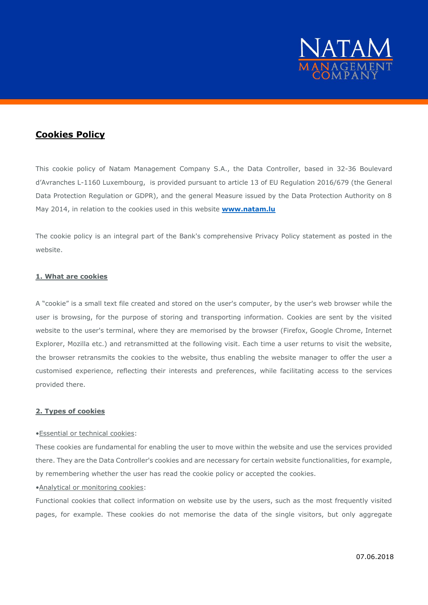

# **Cookies Policy**

This cookie policy of Natam Management Company S.A., the Data Controller, based in 32-36 Boulevard d'Avranches L-1160 Luxembourg, is provided pursuant to article 13 of EU Regulation 2016/679 (the General Data Protection Regulation or GDPR), and the general Measure issued by the Data Protection Authority on 8 May 2014, in relation to the cookies used in this website **[www.natam.lu](http://www.natam.lu/)**

The cookie policy is an integral part of the Bank's comprehensive Privacy Policy statement as posted in the website.

### **1. What are cookies**

A "cookie" is a small text file created and stored on the user's computer, by the user's web browser while the user is browsing, for the purpose of storing and transporting information. Cookies are sent by the visited website to the user's terminal, where they are memorised by the browser (Firefox, Google Chrome, Internet Explorer, Mozilla etc.) and retransmitted at the following visit. Each time a user returns to visit the website, the browser retransmits the cookies to the website, thus enabling the website manager to offer the user a customised experience, reflecting their interests and preferences, while facilitating access to the services provided there.

### **2. Types of cookies**

### •Essential or technical cookies:

These cookies are fundamental for enabling the user to move within the website and use the services provided there. They are the Data Controller's cookies and are necessary for certain website functionalities, for example, by remembering whether the user has read the cookie policy or accepted the cookies.

### •Analytical or monitoring cookies:

Functional cookies that collect information on website use by the users, such as the most frequently visited pages, for example. These cookies do not memorise the data of the single visitors, but only aggregate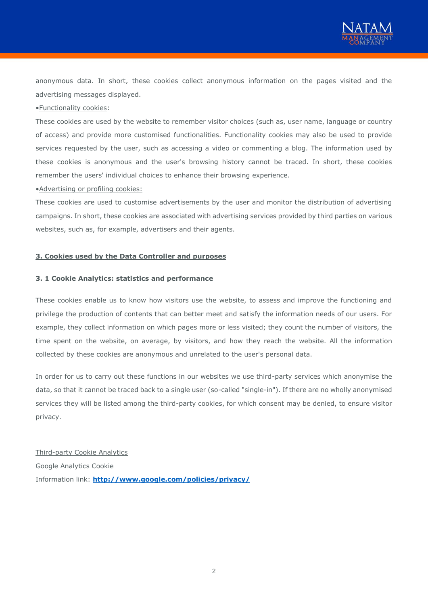

anonymous data. In short, these cookies collect anonymous information on the pages visited and the advertising messages displayed.

## •Functionality cookies:

These cookies are used by the website to remember visitor choices (such as, user name, language or country of access) and provide more customised functionalities. Functionality cookies may also be used to provide services requested by the user, such as accessing a video or commenting a blog. The information used by these cookies is anonymous and the user's browsing history cannot be traced. In short, these cookies remember the users' individual choices to enhance their browsing experience.

•Advertising or profiling cookies:

These cookies are used to customise advertisements by the user and monitor the distribution of advertising campaigns. In short, these cookies are associated with advertising services provided by third parties on various websites, such as, for example, advertisers and their agents.

#### **3. Cookies used by the Data Controller and purposes**

#### **3. 1 Cookie Analytics: statistics and performance**

These cookies enable us to know how visitors use the website, to assess and improve the functioning and privilege the production of contents that can better meet and satisfy the information needs of our users. For example, they collect information on which pages more or less visited; they count the number of visitors, the time spent on the website, on average, by visitors, and how they reach the website. All the information collected by these cookies are anonymous and unrelated to the user's personal data.

In order for us to carry out these functions in our websites we use third-party services which anonymise the data, so that it cannot be traced back to a single user (so-called "single-in"). If there are no wholly anonymised services they will be listed among the third-party cookies, for which consent may be denied, to ensure visitor privacy.

Third-party Cookie Analytics Google Analytics Cookie Information link: **<http://www.google.com/policies/privacy/>**